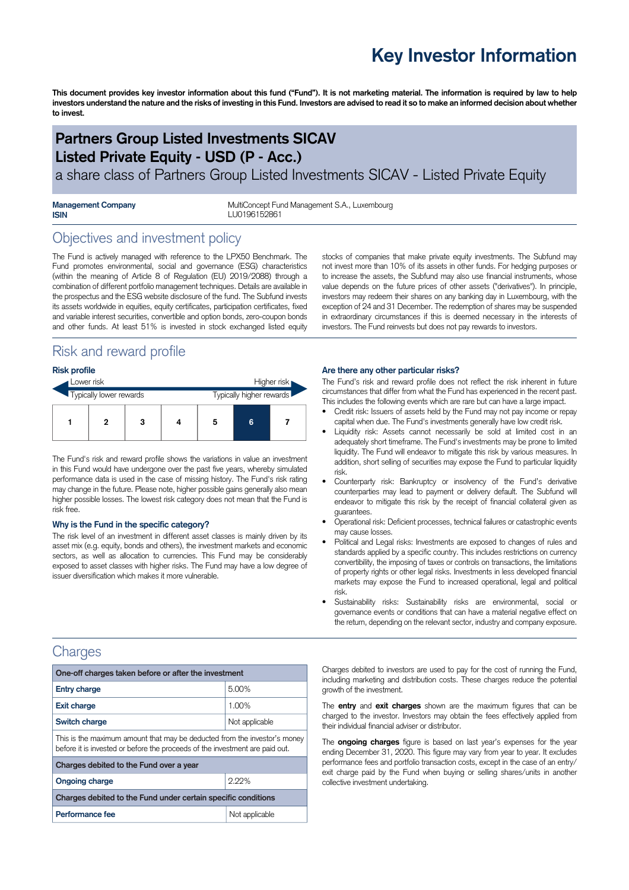# **Key Investor Information**

This document provides key investor information about this fund ("Fund"). It is not marketing material. The information is required by law to help investors understand the nature and the risks of investing in this Fund. Investors are advised to read it so to make an informed decision about whether **to invest.**

# **Partners Group Listed Investments SICAV Listed Private Equity - USD (P - Acc.)**

a share class of Partners Group Listed Investments SICAV - Listed Private Equity

| <b>Management Company</b> |  |
|---------------------------|--|
| <b>ISIN</b>               |  |

MultiConcept Fund Management S.A., Luxembourg **ISIN** LU0196152861

## Objectives and investment policy

The Fund is actively managed with reference to the LPX50 Benchmark. The Fund promotes environmental, social and governance (ESG) characteristics (within the meaning of Article 8 of Regulation (EU) 2019/2088) through a combination of different portfolio management techniques. Details are available in the prospectus and the ESG website disclosure of the fund. The Subfund invests its assets worldwide in equities, equity certificates, participation certificates, fixed and variable interest securities, convertible and option bonds, zero-coupon bonds and other funds. At least 51% is invested in stock exchanged listed equity

## Risk and reward profile

| <b>Risk profile</b>     |   |   |  |                          |   |  |  |
|-------------------------|---|---|--|--------------------------|---|--|--|
| Lower risk              |   |   |  | Higher risk              |   |  |  |
| Typically lower rewards |   |   |  | Typically higher rewards |   |  |  |
|                         | 2 | 3 |  | 5                        | 6 |  |  |

The Fund's risk and reward profile shows the variations in value an investment in this Fund would have undergone over the past five years, whereby simulated performance data is used in the case of missing history. The Fund's risk rating may change in the future. Please note, higher possible gains generally also mean higher possible losses. The lowest risk category does not mean that the Fund is risk free.

#### **Why is the Fund in the specific category?**

The risk level of an investment in different asset classes is mainly driven by its asset mix (e.g. equity, bonds and others), the investment markets and economic sectors, as well as allocation to currencies. This Fund may be considerably exposed to asset classes with higher risks. The Fund may have a low degree of issuer diversification which makes it more vulnerable.

stocks of companies that make private equity investments. The Subfund may not invest more than 10% of its assets in other funds. For hedging purposes or to increase the assets, the Subfund may also use financial instruments, whose value depends on the future prices of other assets ("derivatives"). In principle, investors may redeem their shares on any banking day in Luxembourg, with the exception of 24 and 31 December. The redemption of shares may be suspended in extraordinary circumstances if this is deemed necessary in the interests of investors. The Fund reinvests but does not pay rewards to investors.

#### **Are there any other particular risks?**

The Fund's risk and reward profile does not reflect the risk inherent in future circumstances that differ from what the Fund has experienced in the recent past. This includes the following events which are rare but can have a large impact.

- Credit risk: Issuers of assets held by the Fund may not pay income or repay capital when due. The Fund's investments generally have low credit risk.
- Liquidity risk: Assets cannot necessarily be sold at limited cost in an adequately short timeframe. The Fund's investments may be prone to limited liquidity. The Fund will endeavor to mitigate this risk by various measures. In addition, short selling of securities may expose the Fund to particular liquidity risk.
- Counterparty risk: Bankruptcy or insolvency of the Fund's derivative counterparties may lead to payment or delivery default. The Subfund will endeavor to mitigate this risk by the receipt of financial collateral given as guarantees.
- Operational risk: Deficient processes, technical failures or catastrophic events may cause losses.
- Political and Legal risks: Investments are exposed to changes of rules and standards applied by a specific country. This includes restrictions on currency convertibility, the imposing of taxes or controls on transactions, the limitations of property rights or other legal risks. Investments in less developed financial markets may expose the Fund to increased operational, legal and political risk.
- Sustainability risks: Sustainability risks are environmental, social or governance events or conditions that can have a material negative effect on the return, depending on the relevant sector, industry and company exposure.

## Charges

| One-off charges taken before or after the investment                                                                                                      |                |  |  |  |
|-----------------------------------------------------------------------------------------------------------------------------------------------------------|----------------|--|--|--|
| <b>Entry charge</b>                                                                                                                                       | 5.00%          |  |  |  |
| <b>Exit charge</b>                                                                                                                                        | 1.00%          |  |  |  |
| Switch charge                                                                                                                                             | Not applicable |  |  |  |
| This is the maximum amount that may be deducted from the investor's money<br>before it is invested or before the proceeds of the investment are paid out. |                |  |  |  |
| Charges debited to the Fund over a year                                                                                                                   |                |  |  |  |
| <b>Ongoing charge</b>                                                                                                                                     | 2.22%          |  |  |  |
| Charges debited to the Fund under certain specific conditions                                                                                             |                |  |  |  |
| Performance fee                                                                                                                                           | Not applicable |  |  |  |

Charges debited to investors are used to pay for the cost of running the Fund, including marketing and distribution costs. These charges reduce the potential growth of the investment.

The **entry** and **exit charges** shown are the maximum figures that can be charged to the investor. Investors may obtain the fees effectively applied from their individual financial adviser or distributor.

The **ongoing charges** figure is based on last year's expenses for the year ending December 31, 2020. This figure may vary from year to year. It excludes performance fees and portfolio transaction costs, except in the case of an entry/ exit charge paid by the Fund when buying or selling shares/units in another collective investment undertaking.